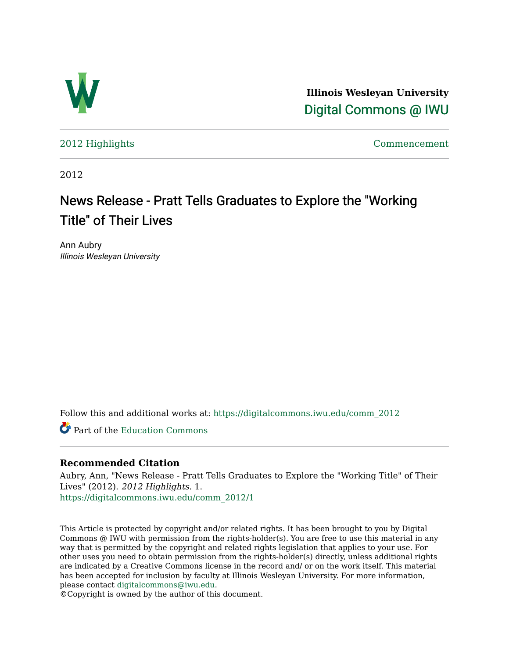

**Illinois Wesleyan University**  [Digital Commons @ IWU](https://digitalcommons.iwu.edu/) 

[2012 Highlights](https://digitalcommons.iwu.edu/comm_2012) [Commencement](https://digitalcommons.iwu.edu/commencement) 

2012

## News Release - Pratt Tells Graduates to Explore the "Working" Title" of Their Lives

Ann Aubry Illinois Wesleyan University

Follow this and additional works at: [https://digitalcommons.iwu.edu/comm\\_2012](https://digitalcommons.iwu.edu/comm_2012?utm_source=digitalcommons.iwu.edu%2Fcomm_2012%2F1&utm_medium=PDF&utm_campaign=PDFCoverPages) 

Part of the [Education Commons](http://network.bepress.com/hgg/discipline/784?utm_source=digitalcommons.iwu.edu%2Fcomm_2012%2F1&utm_medium=PDF&utm_campaign=PDFCoverPages)

## **Recommended Citation**

Aubry, Ann, "News Release - Pratt Tells Graduates to Explore the "Working Title" of Their Lives" (2012). 2012 Highlights. 1. [https://digitalcommons.iwu.edu/comm\\_2012/1](https://digitalcommons.iwu.edu/comm_2012/1?utm_source=digitalcommons.iwu.edu%2Fcomm_2012%2F1&utm_medium=PDF&utm_campaign=PDFCoverPages) 

This Article is protected by copyright and/or related rights. It has been brought to you by Digital Commons @ IWU with permission from the rights-holder(s). You are free to use this material in any way that is permitted by the copyright and related rights legislation that applies to your use. For other uses you need to obtain permission from the rights-holder(s) directly, unless additional rights are indicated by a Creative Commons license in the record and/ or on the work itself. This material has been accepted for inclusion by faculty at Illinois Wesleyan University. For more information, please contact [digitalcommons@iwu.edu.](mailto:digitalcommons@iwu.edu)

©Copyright is owned by the author of this document.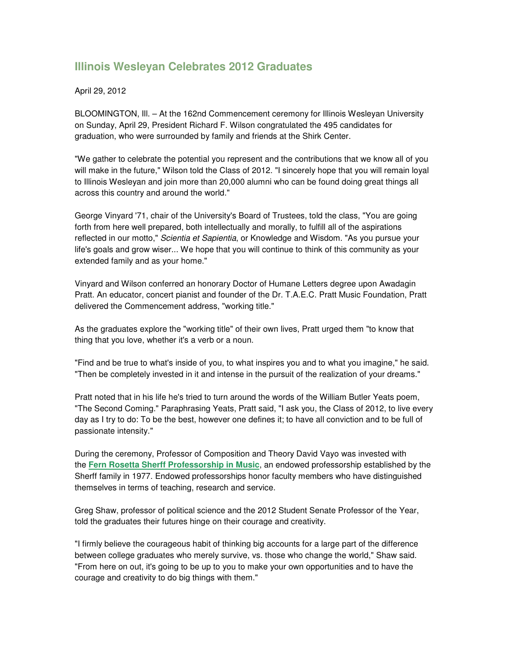## **Illinois Wesleyan Celebrates 2012 Graduates**

## April 29, 2012

BLOOMINGTON, Ill. – At the 162nd Commencement ceremony for Illinois Wesleyan University on Sunday, April 29, President Richard F. Wilson congratulated the 495 candidates for graduation, who were surrounded by family and friends at the Shirk Center.

"We gather to celebrate the potential you represent and the contributions that we know all of you will make in the future," Wilson told the Class of 2012. "I sincerely hope that you will remain loyal to Illinois Wesleyan and join more than 20,000 alumni who can be found doing great things all across this country and around the world."

George Vinyard '71, chair of the University's Board of Trustees, told the class, "You are going forth from here well prepared, both intellectually and morally, to fulfill all of the aspirations reflected in our motto," Scientia et Sapientia, or Knowledge and Wisdom. "As you pursue your life's goals and grow wiser... We hope that you will continue to think of this community as your extended family and as your home."

Vinyard and Wilson conferred an honorary Doctor of Humane Letters degree upon Awadagin Pratt. An educator, concert pianist and founder of the Dr. T.A.E.C. Pratt Music Foundation, Pratt delivered the Commencement address, "working title."

As the graduates explore the "working title" of their own lives, Pratt urged them "to know that thing that you love, whether it's a verb or a noun.

"Find and be true to what's inside of you, to what inspires you and to what you imagine," he said. "Then be completely invested in it and intense in the pursuit of the realization of your dreams."

Pratt noted that in his life he's tried to turn around the words of the William Butler Yeats poem, "The Second Coming." Paraphrasing Yeats, Pratt said, "I ask you, the Class of 2012, to live every day as I try to do: To be the best, however one defines it; to have all conviction and to be full of passionate intensity."

During the ceremony, Professor of Composition and Theory David Vayo was invested with the **Fern Rosetta Sherff Professorship in Music**, an endowed professorship established by the Sherff family in 1977. Endowed professorships honor faculty members who have distinguished themselves in terms of teaching, research and service.

Greg Shaw, professor of political science and the 2012 Student Senate Professor of the Year, told the graduates their futures hinge on their courage and creativity.

"I firmly believe the courageous habit of thinking big accounts for a large part of the difference between college graduates who merely survive, vs. those who change the world," Shaw said. "From here on out, it's going to be up to you to make your own opportunities and to have the courage and creativity to do big things with them."